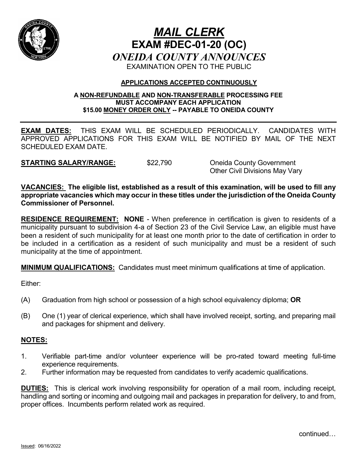

# *MAIL CLERK* **EXAM #DEC-01-20 (OC)** *ONEIDA COUNTY ANNOUNCES* EXAMINATION OPEN TO THE PUBLIC

## **APPLICATIONS ACCEPTED CONTINUOUSLY**

#### **A NON-REFUNDABLE AND NON-TRANSFERABLE PROCESSING FEE MUST ACCOMPANY EACH APPLICATION \$15.00 MONEY ORDER ONLY -- PAYABLE TO ONEIDA COUNTY**

**EXAM DATES:** THIS EXAM WILL BE SCHEDULED PERIODICALLY. CANDIDATES WITH APPROVED APPLICATIONS FOR THIS EXAM WILL BE NOTIFIED BY MAIL OF THE NEXT SCHEDULED EXAM DATE.

**STARTING SALARY/RANGE:** \$22,790 Oneida County Government

Other Civil Divisions May Vary

**VACANCIES: The eligible list, established as a result of this examination, will be used to fill any appropriate vacancies which may occur in these titles under the jurisdiction of the Oneida County Commissioner of Personnel.**

**RESIDENCE REQUIREMENT: NONE** - When preference in certification is given to residents of a municipality pursuant to subdivision 4-a of Section 23 of the Civil Service Law, an eligible must have been a resident of such municipality for at least one month prior to the date of certification in order to be included in a certification as a resident of such municipality and must be a resident of such municipality at the time of appointment.

**MINIMUM QUALIFICATIONS:** Candidates must meet minimum qualifications at time of application.

Either:

- (A) Graduation from high school or possession of a high school equivalency diploma; **OR**
- (B) One (1) year of clerical experience, which shall have involved receipt, sorting, and preparing mail and packages for shipment and delivery.

## **NOTES:**

- 1. Verifiable part-time and/or volunteer experience will be pro-rated toward meeting full-time experience requirements.
- 2. Further information may be requested from candidates to verify academic qualifications.

**DUTIES:** This is clerical work involving responsibility for operation of a mail room, including receipt, handling and sorting or incoming and outgoing mail and packages in preparation for delivery, to and from, proper offices. Incumbents perform related work as required.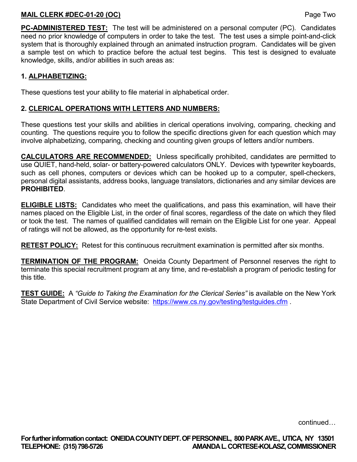#### **MAIL CLERK #DEC-01-20 (OC)** Page Two

**PC-ADMINISTERED TEST:** The test will be administered on a personal computer (PC). Candidates need no prior knowledge of computers in order to take the test. The test uses a simple point-and-click system that is thoroughly explained through an animated instruction program. Candidates will be given a sample test on which to practice before the actual test begins. This test is designed to evaluate knowledge, skills, and/or abilities in such areas as:

## **1. ALPHABETIZING:**

These questions test your ability to file material in alphabetical order.

### **2. CLERICAL OPERATIONS WITH LETTERS AND NUMBERS:**

These questions test your skills and abilities in clerical operations involving, comparing, checking and counting. The questions require you to follow the specific directions given for each question which may involve alphabetizing, comparing, checking and counting given groups of letters and/or numbers.

**CALCULATORS ARE RECOMMENDED:** Unless specifically prohibited, candidates are permitted to use QUIET, hand-held, solar- or battery-powered calculators ONLY. Devices with typewriter keyboards, such as cell phones, computers or devices which can be hooked up to a computer, spell-checkers, personal digital assistants, address books, language translators, dictionaries and any similar devices are **PROHIBITED**.

**ELIGIBLE LISTS:** Candidates who meet the qualifications, and pass this examination, will have their names placed on the Eligible List, in the order of final scores, regardless of the date on which they filed or took the test. The names of qualified candidates will remain on the Eligible List for one year. Appeal of ratings will not be allowed, as the opportunity for re-test exists.

**RETEST POLICY:** Retest for this continuous recruitment examination is permitted after six months.

**TERMINATION OF THE PROGRAM:** Oneida County Department of Personnel reserves the right to terminate this special recruitment program at any time, and re-establish a program of periodic testing for this title.

**TEST GUIDE:** A *"Guide to Taking the Examination for the Clerical Series"* is available on the New York State Department of Civil Service website: <https://www.cs.ny.gov/testing/testguides.cfm>.

continued…